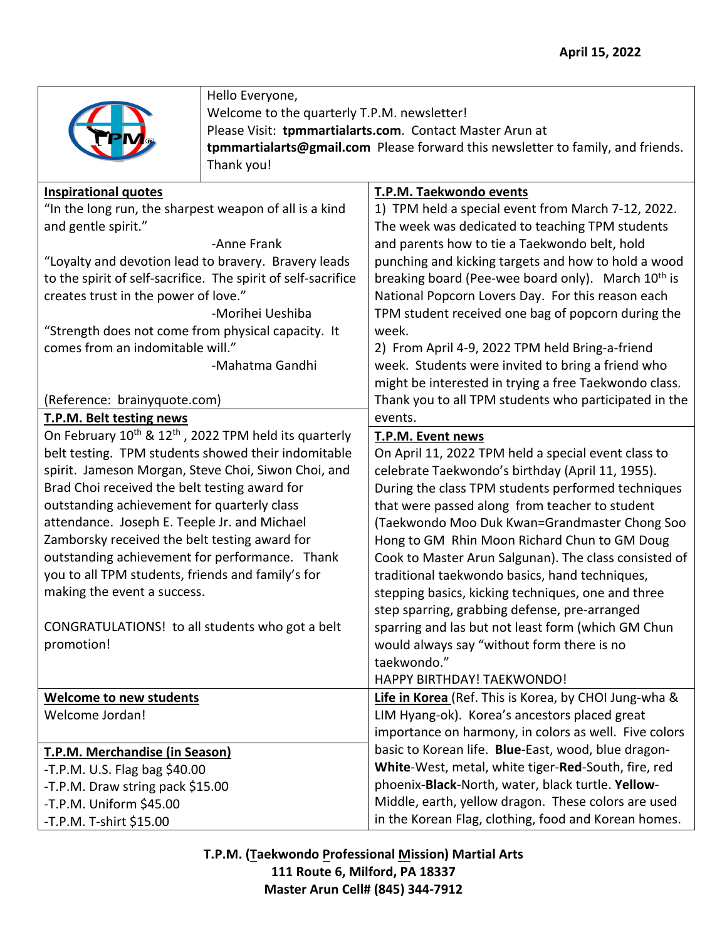

Hello Everyone,

Welcome to the quarterly T.P.M. newsletter! Please Visit: **tpmmartialarts.com**. Contact Master Arun at **tpmmartialarts@gmail.com** Please forward this newsletter to family, and friends. Thank you!

| <b>Inspirational quotes</b>                                                   | T.P.M. Taekwondo events                                        |
|-------------------------------------------------------------------------------|----------------------------------------------------------------|
| "In the long run, the sharpest weapon of all is a kind                        | 1) TPM held a special event from March 7-12, 2022.             |
| and gentle spirit."                                                           | The week was dedicated to teaching TPM students                |
| -Anne Frank                                                                   | and parents how to tie a Taekwondo belt, hold                  |
| "Loyalty and devotion lead to bravery. Bravery leads                          | punching and kicking targets and how to hold a wood            |
| to the spirit of self-sacrifice. The spirit of self-sacrifice                 | breaking board (Pee-wee board only). March 10 <sup>th</sup> is |
| creates trust in the power of love."                                          | National Popcorn Lovers Day. For this reason each              |
| -Morihei Ueshiba                                                              | TPM student received one bag of popcorn during the             |
| "Strength does not come from physical capacity. It                            | week.                                                          |
| comes from an indomitable will."                                              | 2) From April 4-9, 2022 TPM held Bring-a-friend                |
| -Mahatma Gandhi                                                               | week. Students were invited to bring a friend who              |
|                                                                               | might be interested in trying a free Taekwondo class.          |
| (Reference: brainyquote.com)                                                  | Thank you to all TPM students who participated in the          |
| T.P.M. Belt testing news                                                      | events.                                                        |
| On February 10 <sup>th</sup> & 12 <sup>th</sup> , 2022 TPM held its quarterly | T.P.M. Event news                                              |
| belt testing. TPM students showed their indomitable                           | On April 11, 2022 TPM held a special event class to            |
| spirit. Jameson Morgan, Steve Choi, Siwon Choi, and                           | celebrate Taekwondo's birthday (April 11, 1955).               |
| Brad Choi received the belt testing award for                                 | During the class TPM students performed techniques             |
| outstanding achievement for quarterly class                                   | that were passed along from teacher to student                 |
| attendance. Joseph E. Teeple Jr. and Michael                                  | (Taekwondo Moo Duk Kwan=Grandmaster Chong Soo                  |
| Zamborsky received the belt testing award for                                 | Hong to GM Rhin Moon Richard Chun to GM Doug                   |
| outstanding achievement for performance. Thank                                | Cook to Master Arun Salgunan). The class consisted of          |
| you to all TPM students, friends and family's for                             | traditional taekwondo basics, hand techniques,                 |
| making the event a success.                                                   | stepping basics, kicking techniques, one and three             |
|                                                                               | step sparring, grabbing defense, pre-arranged                  |
| CONGRATULATIONS! to all students who got a belt                               | sparring and las but not least form (which GM Chun             |
| promotion!                                                                    | would always say "without form there is no                     |
|                                                                               | taekwondo."                                                    |
|                                                                               | HAPPY BIRTHDAY! TAEKWONDO!                                     |
| <b>Welcome to new students</b>                                                | Life in Korea (Ref. This is Korea, by CHOI Jung-wha &          |
| Welcome Jordan!                                                               | LIM Hyang-ok). Korea's ancestors placed great                  |
|                                                                               | importance on harmony, in colors as well. Five colors          |
| T.P.M. Merchandise (in Season)                                                | basic to Korean life. Blue-East, wood, blue dragon-            |
| -T.P.M. U.S. Flag bag \$40.00                                                 | White-West, metal, white tiger-Red-South, fire, red            |
| -T.P.M. Draw string pack \$15.00                                              | phoenix-Black-North, water, black turtle. Yellow-              |
| -T.P.M. Uniform \$45.00                                                       | Middle, earth, yellow dragon. These colors are used            |
| -T.P.M. T-shirt \$15.00                                                       | in the Korean Flag, clothing, food and Korean homes.           |